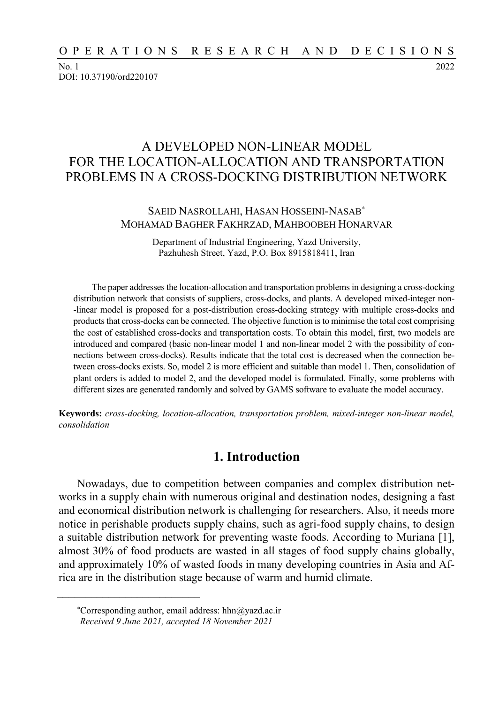No. 1 2022 DOI: 10.37190/ord220107

# A DEVELOPED NON-LINEAR MODEL FOR THE LOCATION-ALLOCATION AND TRANSPORTATION PROBLEMS IN A CROSS-DOCKING DISTRIBUTION NETWORK

### SAEID NASROLLAHI, HASAN HOSSEINI-NASAB<sup>∗</sup> MOHAMAD BAGHER FAKHRZAD, MAHBOOBEH HONARVAR

Department of Industrial Engineering, Yazd University, Pazhuhesh Street, Yazd, P.O. Box 8915818411, Iran

The paper addresses the location-allocation and transportation problems in designing a cross-docking distribution network that consists of suppliers, cross-docks, and plants. A developed mixed-integer non- -linear model is proposed for a post-distribution cross-docking strategy with multiple cross-docks and products that cross-docks can be connected. The objective function is to minimise the total cost comprising the cost of established cross-docks and transportation costs. To obtain this model, first, two models are introduced and compared (basic non-linear model 1 and non-linear model 2 with the possibility of connections between cross-docks). Results indicate that the total cost is decreased when the connection between cross-docks exists. So, model 2 is more efficient and suitable than model 1. Then, consolidation of plant orders is added to model 2, and the developed model is formulated. Finally, some problems with different sizes are generated randomly and solved by GAMS software to evaluate the model accuracy.

**Keywords:** *cross-docking, location-allocation, transportation problem, mixed-integer non-linear model, consolidation* 

## **1. Introduction**

Nowadays, due to competition between companies and complex distribution networks in a supply chain with numerous original and destination nodes, designing a fast and economical distribution network is challenging for researchers. Also, it needs more notice in perishable products supply chains, such as agri-food supply chains, to design a suitable distribution network for preventing waste foods. According to Muriana [1], almost 30% of food products are wasted in all stages of food supply chains globally, and approximately 10% of wasted foods in many developing countries in Asia and Africa are in the distribution stage because of warm and humid climate.

 $\frac{1}{\sqrt{2}}$  ,  $\frac{1}{\sqrt{2}}$  ,  $\frac{1}{\sqrt{2}}$  ,  $\frac{1}{\sqrt{2}}$  ,  $\frac{1}{\sqrt{2}}$  ,  $\frac{1}{\sqrt{2}}$  ,  $\frac{1}{\sqrt{2}}$  ,  $\frac{1}{\sqrt{2}}$  ,  $\frac{1}{\sqrt{2}}$  ,  $\frac{1}{\sqrt{2}}$  ,  $\frac{1}{\sqrt{2}}$  ,  $\frac{1}{\sqrt{2}}$  ,  $\frac{1}{\sqrt{2}}$  ,  $\frac{1}{\sqrt{2}}$  ,  $\frac{1}{\sqrt{2}}$ 

<sup>∗</sup>Corresponding author, email address: hhn@yazd.ac.ir *Received 9 June 2021, accepted 18 November 2021*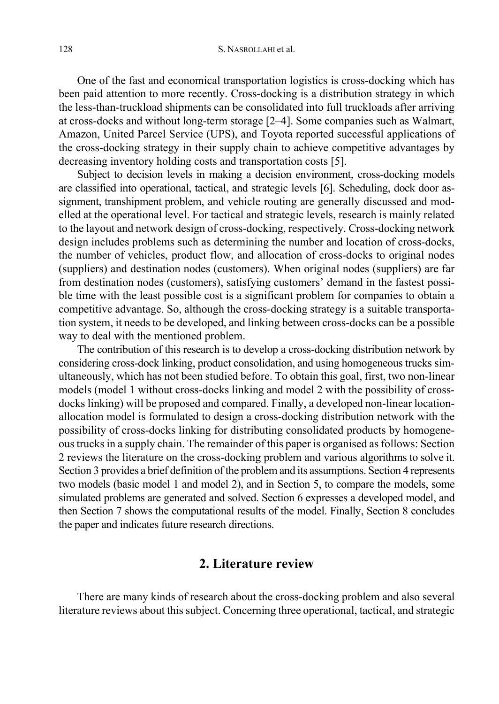One of the fast and economical transportation logistics is cross-docking which has been paid attention to more recently. Cross-docking is a distribution strategy in which the less-than-truckload shipments can be consolidated into full truckloads after arriving at cross-docks and without long-term storage [2–4]. Some companies such as Walmart, Amazon, United Parcel Service (UPS), and Toyota reported successful applications of the cross-docking strategy in their supply chain to achieve competitive advantages by decreasing inventory holding costs and transportation costs [5].

Subject to decision levels in making a decision environment, cross-docking models are classified into operational, tactical, and strategic levels [6]. Scheduling, dock door assignment, transhipment problem, and vehicle routing are generally discussed and modelled at the operational level. For tactical and strategic levels, research is mainly related to the layout and network design of cross-docking, respectively. Cross-docking network design includes problems such as determining the number and location of cross-docks, the number of vehicles, product flow, and allocation of cross-docks to original nodes (suppliers) and destination nodes (customers). When original nodes (suppliers) are far from destination nodes (customers), satisfying customers' demand in the fastest possible time with the least possible cost is a significant problem for companies to obtain a competitive advantage. So, although the cross-docking strategy is a suitable transportation system, it needs to be developed, and linking between cross-docks can be a possible way to deal with the mentioned problem.

The contribution of this research is to develop a cross-docking distribution network by considering cross-dock linking, product consolidation, and using homogeneous trucks simultaneously, which has not been studied before. To obtain this goal, first, two non-linear models (model 1 without cross-docks linking and model 2 with the possibility of crossdocks linking) will be proposed and compared. Finally, a developed non-linear locationallocation model is formulated to design a cross-docking distribution network with the possibility of cross-docks linking for distributing consolidated products by homogeneous trucks in a supply chain. The remainder of this paper is organised as follows: Section 2 reviews the literature on the cross-docking problem and various algorithms to solve it. Section 3 provides a brief definition of the problem and its assumptions. Section 4 represents two models (basic model 1 and model 2), and in Section 5, to compare the models, some simulated problems are generated and solved. Section 6 expresses a developed model, and then Section 7 shows the computational results of the model. Finally, Section 8 concludes the paper and indicates future research directions.

## **2. Literature review**

There are many kinds of research about the cross-docking problem and also several literature reviews about this subject. Concerning three operational, tactical, and strategic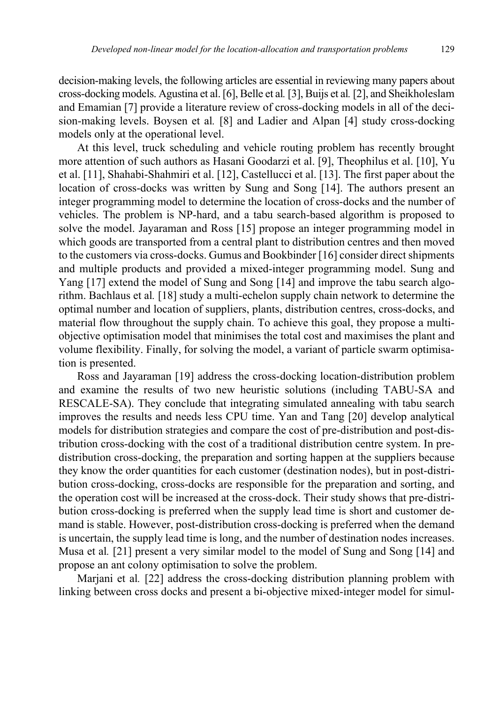decision-making levels, the following articles are essential in reviewing many papers about cross-docking models. Agustina et al. [6], Belle et al*.* [3], Buijs et al*.* [2], and Sheikholeslam and Emamian [7] provide a literature review of cross-docking models in all of the decision-making levels. Boysen et al*.* [8] and Ladier and Alpan [4] study cross-docking models only at the operational level.

At this level, truck scheduling and vehicle routing problem has recently brought more attention of such authors as Hasani Goodarzi et al. [9], Theophilus et al. [10], Yu et al. [11], Shahabi-Shahmiri et al. [12], Castellucci et al. [13]. The first paper about the location of cross-docks was written by Sung and Song [14]. The authors present an integer programming model to determine the location of cross-docks and the number of vehicles. The problem is NP-hard, and a tabu search-based algorithm is proposed to solve the model. Jayaraman and Ross [15] propose an integer programming model in which goods are transported from a central plant to distribution centres and then moved to the customers via cross-docks. Gumus and Bookbinder [16] consider direct shipments and multiple products and provided a mixed-integer programming model. Sung and Yang [17] extend the model of Sung and Song [14] and improve the tabu search algorithm. Bachlaus et al*.* [18] study a multi-echelon supply chain network to determine the optimal number and location of suppliers, plants, distribution centres, cross-docks, and material flow throughout the supply chain. To achieve this goal, they propose a multiobjective optimisation model that minimises the total cost and maximises the plant and volume flexibility. Finally, for solving the model, a variant of particle swarm optimisation is presented.

Ross and Jayaraman [19] address the cross-docking location-distribution problem and examine the results of two new heuristic solutions (including TABU-SA and RESCALE-SA). They conclude that integrating simulated annealing with tabu search improves the results and needs less CPU time. Yan and Tang [20] develop analytical models for distribution strategies and compare the cost of pre-distribution and post-distribution cross-docking with the cost of a traditional distribution centre system. In predistribution cross-docking, the preparation and sorting happen at the suppliers because they know the order quantities for each customer (destination nodes), but in post-distribution cross-docking, cross-docks are responsible for the preparation and sorting, and the operation cost will be increased at the cross-dock. Their study shows that pre-distribution cross-docking is preferred when the supply lead time is short and customer demand is stable. However, post-distribution cross-docking is preferred when the demand is uncertain, the supply lead time is long, and the number of destination nodes increases. Musa et al*.* [21] present a very similar model to the model of Sung and Song [14] and propose an ant colony optimisation to solve the problem.

Marjani et al*.* [22] address the cross-docking distribution planning problem with linking between cross docks and present a bi-objective mixed-integer model for simul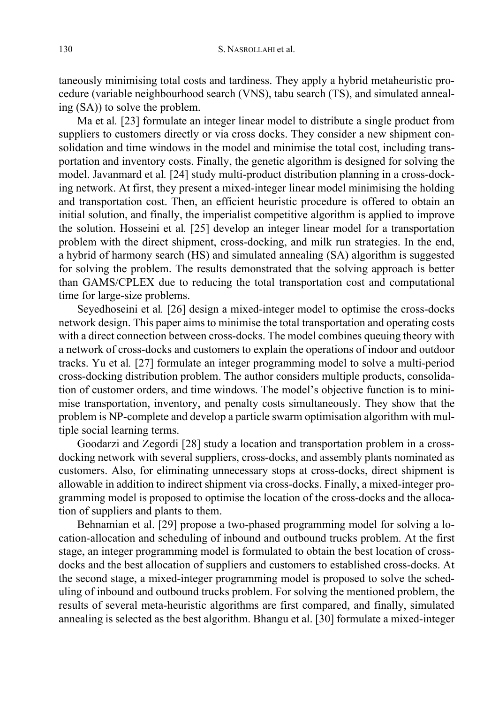taneously minimising total costs and tardiness. They apply a hybrid metaheuristic procedure (variable neighbourhood search (VNS), tabu search (TS), and simulated annealing (SA)) to solve the problem.

Ma et al*.* [23] formulate an integer linear model to distribute a single product from suppliers to customers directly or via cross docks. They consider a new shipment consolidation and time windows in the model and minimise the total cost, including transportation and inventory costs. Finally, the genetic algorithm is designed for solving the model. Javanmard et al*.* [24] study multi-product distribution planning in a cross-docking network. At first, they present a mixed-integer linear model minimising the holding and transportation cost. Then, an efficient heuristic procedure is offered to obtain an initial solution, and finally, the imperialist competitive algorithm is applied to improve the solution. Hosseini et al*.* [25] develop an integer linear model for a transportation problem with the direct shipment, cross-docking, and milk run strategies. In the end, a hybrid of harmony search (HS) and simulated annealing (SA) algorithm is suggested for solving the problem. The results demonstrated that the solving approach is better than GAMS/CPLEX due to reducing the total transportation cost and computational time for large-size problems.

Seyedhoseini et al*.* [26] design a mixed-integer model to optimise the cross-docks network design. This paper aims to minimise the total transportation and operating costs with a direct connection between cross-docks. The model combines queuing theory with a network of cross-docks and customers to explain the operations of indoor and outdoor tracks. Yu et al*.* [27] formulate an integer programming model to solve a multi-period cross-docking distribution problem. The author considers multiple products, consolidation of customer orders, and time windows. The model's objective function is to minimise transportation, inventory, and penalty costs simultaneously. They show that the problem is NP-complete and develop a particle swarm optimisation algorithm with multiple social learning terms.

Goodarzi and Zegordi [28] study a location and transportation problem in a crossdocking network with several suppliers, cross-docks, and assembly plants nominated as customers. Also, for eliminating unnecessary stops at cross-docks, direct shipment is allowable in addition to indirect shipment via cross-docks. Finally, a mixed-integer programming model is proposed to optimise the location of the cross-docks and the allocation of suppliers and plants to them.

Behnamian et al. [29] propose a two-phased programming model for solving a location-allocation and scheduling of inbound and outbound trucks problem. At the first stage, an integer programming model is formulated to obtain the best location of crossdocks and the best allocation of suppliers and customers to established cross-docks. At the second stage, a mixed-integer programming model is proposed to solve the scheduling of inbound and outbound trucks problem. For solving the mentioned problem, the results of several meta-heuristic algorithms are first compared, and finally, simulated annealing is selected as the best algorithm. Bhangu et al. [30] formulate a mixed-integer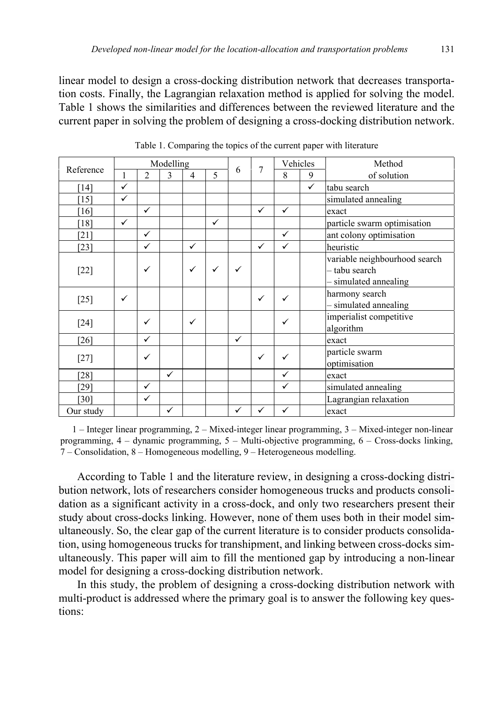linear model to design a cross-docking distribution network that decreases transportation costs. Finally, the Lagrangian relaxation method is applied for solving the model. Table 1 shows the similarities and differences between the reviewed literature and the current paper in solving the problem of designing a cross-docking distribution network.

| Reference |              |                | Modelling |   |                          |              | 7            | Vehicles     |              | Method                                                                |
|-----------|--------------|----------------|-----------|---|--------------------------|--------------|--------------|--------------|--------------|-----------------------------------------------------------------------|
|           | 1            | $\overline{2}$ | 3         | 4 | $\overline{\phantom{0}}$ | 6            |              | 8<br>9       |              | of solution                                                           |
| [14]      | ✓            |                |           |   |                          |              |              |              | $\checkmark$ | tabu search                                                           |
| [15]      | $\checkmark$ |                |           |   |                          |              |              |              |              | simulated annealing                                                   |
| [16]      |              | ✓              |           |   |                          |              | $\checkmark$ | ✓            |              | exact                                                                 |
| [18]      | ✓            |                |           |   | ✓                        |              |              |              |              | particle swarm optimisation                                           |
| [21]      |              | $\checkmark$   |           |   |                          |              |              | $\checkmark$ |              | ant colony optimisation                                               |
| [23]      |              | ✓              |           | ✓ |                          |              | $\checkmark$ | ✓            |              | heuristic                                                             |
| $[22]$    |              | ✓              |           | ✓ | ✓                        | $\checkmark$ |              |              |              | variable neighbourhood search<br>tabu search<br>- simulated annealing |
| $[25]$    | ✓            |                |           |   |                          |              | ✓            | ✓            |              | harmony search<br>simulated annealing                                 |
| $[24]$    |              | ✓              |           | ✓ |                          |              |              | ✓            |              | imperialist competitive<br>algorithm                                  |
| [26]      |              | ✓              |           |   |                          | $\checkmark$ |              |              |              | exact                                                                 |
| $[27]$    |              | ✓              |           |   |                          |              | ✓            | ✓            |              | particle swarm<br>optimisation                                        |
| [28]      |              |                | ✓         |   |                          |              |              | ✓            |              | exact                                                                 |
| [29]      |              | $\checkmark$   |           |   |                          |              |              | ✓            |              | simulated annealing                                                   |
| [30]      |              | ✓              |           |   |                          |              |              |              |              | Lagrangian relaxation                                                 |
| Our study |              |                | ✓         |   |                          | ✓            | ✓            | ✓            |              | exact                                                                 |

Table 1. Comparing the topics of the current paper with literature

1 – Integer linear programming, 2 – Mixed-integer linear programming, 3 – Mixed-integer non-linear programming, 4 – dynamic programming, 5 – Multi-objective programming, 6 – Cross-docks linking, 7 – Consolidation, 8 – Homogeneous modelling, 9 – Heterogeneous modelling.

According to Table 1 and the literature review, in designing a cross-docking distribution network, lots of researchers consider homogeneous trucks and products consolidation as a significant activity in a cross-dock, and only two researchers present their study about cross-docks linking. However, none of them uses both in their model simultaneously. So, the clear gap of the current literature is to consider products consolidation, using homogeneous trucks for transhipment, and linking between cross-docks simultaneously. This paper will aim to fill the mentioned gap by introducing a non-linear model for designing a cross-docking distribution network.

In this study, the problem of designing a cross-docking distribution network with multi-product is addressed where the primary goal is to answer the following key questions: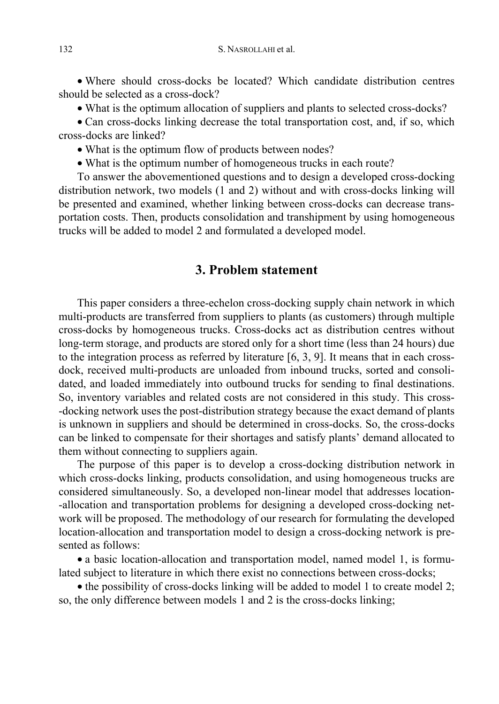• Where should cross-docks be located? Which candidate distribution centres should be selected as a cross-dock?

• What is the optimum allocation of suppliers and plants to selected cross-docks?

• Can cross-docks linking decrease the total transportation cost, and, if so, which cross-docks are linked?

- What is the optimum flow of products between nodes?
- What is the optimum number of homogeneous trucks in each route?

To answer the abovementioned questions and to design a developed cross-docking distribution network, two models (1 and 2) without and with cross-docks linking will be presented and examined, whether linking between cross-docks can decrease transportation costs. Then, products consolidation and transhipment by using homogeneous trucks will be added to model 2 and formulated a developed model.

## **3. Problem statement**

This paper considers a three-echelon cross-docking supply chain network in which multi-products are transferred from suppliers to plants (as customers) through multiple cross-docks by homogeneous trucks. Cross-docks act as distribution centres without long-term storage, and products are stored only for a short time (less than 24 hours) due to the integration process as referred by literature  $[6, 3, 9]$ . It means that in each crossdock, received multi-products are unloaded from inbound trucks, sorted and consolidated, and loaded immediately into outbound trucks for sending to final destinations. So, inventory variables and related costs are not considered in this study. This cross- -docking network uses the post-distribution strategy because the exact demand of plants is unknown in suppliers and should be determined in cross-docks. So, the cross-docks can be linked to compensate for their shortages and satisfy plants' demand allocated to them without connecting to suppliers again.

The purpose of this paper is to develop a cross-docking distribution network in which cross-docks linking, products consolidation, and using homogeneous trucks are considered simultaneously. So, a developed non-linear model that addresses location- -allocation and transportation problems for designing a developed cross-docking network will be proposed. The methodology of our research for formulating the developed location-allocation and transportation model to design a cross-docking network is presented as follows:

• a basic location-allocation and transportation model, named model 1, is formulated subject to literature in which there exist no connections between cross-docks;

• the possibility of cross-docks linking will be added to model 1 to create model 2; so, the only difference between models 1 and 2 is the cross-docks linking;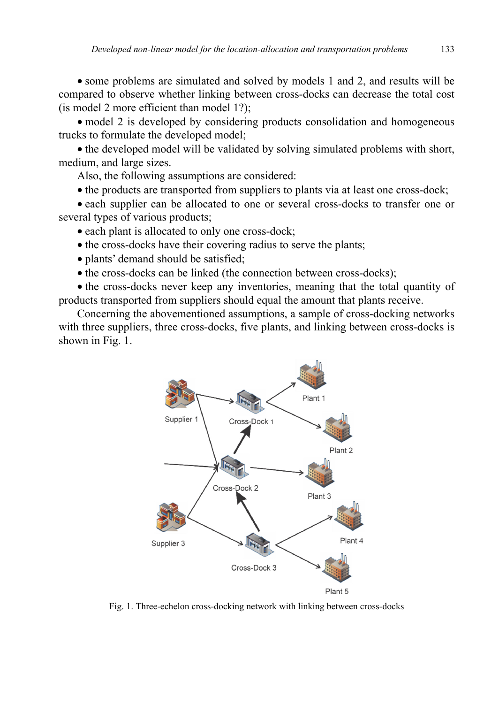• some problems are simulated and solved by models 1 and 2, and results will be compared to observe whether linking between cross-docks can decrease the total cost (is model 2 more efficient than model 1?);

• model 2 is developed by considering products consolidation and homogeneous trucks to formulate the developed model;

• the developed model will be validated by solving simulated problems with short, medium, and large sizes.

Also, the following assumptions are considered:

• the products are transported from suppliers to plants via at least one cross-dock;

• each supplier can be allocated to one or several cross-docks to transfer one or several types of various products;

• each plant is allocated to only one cross-dock;

• the cross-docks have their covering radius to serve the plants;

• plants' demand should be satisfied;

• the cross-docks can be linked (the connection between cross-docks);

• the cross-docks never keep any inventories, meaning that the total quantity of products transported from suppliers should equal the amount that plants receive.

Concerning the abovementioned assumptions, a sample of cross-docking networks with three suppliers, three cross-docks, five plants, and linking between cross-docks is shown in Fig. 1.



Fig. 1. Three-echelon cross-docking network with linking between cross-docks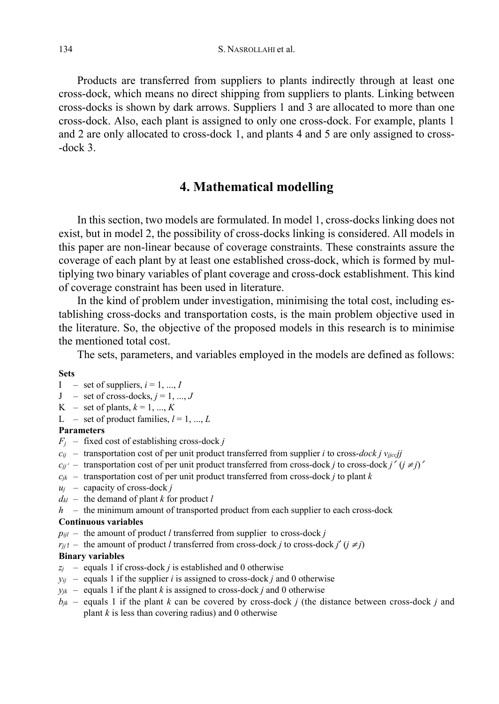Products are transferred from suppliers to plants indirectly through at least one cross-dock, which means no direct shipping from suppliers to plants. Linking between cross-docks is shown by dark arrows. Suppliers 1 and 3 are allocated to more than one cross-dock. Also, each plant is assigned to only one cross-dock. For example, plants 1 and 2 are only allocated to cross-dock 1, and plants 4 and 5 are only assigned to cross- -dock 3.

## **4. Mathematical modelling**

In this section, two models are formulated. In model 1, cross-docks linking does not exist, but in model 2, the possibility of cross-docks linking is considered. All models in this paper are non-linear because of coverage constraints. These constraints assure the coverage of each plant by at least one established cross-dock, which is formed by multiplying two binary variables of plant coverage and cross-dock establishment. This kind of coverage constraint has been used in literature.

In the kind of problem under investigation, minimising the total cost, including establishing cross-docks and transportation costs, is the main problem objective used in the literature. So, the objective of the proposed models in this research is to minimise the mentioned total cost.

The sets, parameters, and variables employed in the models are defined as follows:

#### **Sets**

- $I = set of suppliers, i = 1, ..., I$
- $J$  set of cross-docks,  $j = 1, ..., J$
- $K$  set of plants,  $k = 1, ..., K$
- L set of product families,  $l = 1, ..., L$

#### **Parameters**

- $F_i$  fixed cost of establishing cross-dock *j*
- $c_{ij}$  transportation cost of per unit product transferred from supplier *i* to cross-*dock j v<sub>ijcc</sub>jj*
- $c_{jj'}$  transportation cost of per unit product transferred from cross-dock *j* to cross-dock *j'* ( $j \neq j$ )'
- $c_{jk}$  transportation cost of per unit product transferred from cross-dock *j* to plant *k*
- *uj* capacity of cross-dock *j*
- *dkl* the demand of plant *k* for product *l*
- *h* the minimum amount of transported product from each supplier to each cross-dock

#### **Continuous variables**

- $p_{ijl}$  the amount of product *l* transferred from supplier to cross-dock *j*
- *r*<sub>*ij*</sub> $\gamma$  the amount of product *l* transferred from cross-dock *j* to cross-dock *j*' ( $j \neq j$ )

#### **Binary variables**

- $z_i$  equals 1 if cross-dock *j* is established and 0 otherwise
- $y_{ij}$  equals 1 if the supplier *i* is assigned to cross-dock *j* and 0 otherwise
- $y_{jk}$  equals 1 if the plant *k* is assigned to cross-dock *j* and 0 otherwise
- $b_{jk}$  equals 1 if the plant *k* can be covered by cross-dock *j* (the distance between cross-dock *j* and plant  $k$  is less than covering radius) and 0 otherwise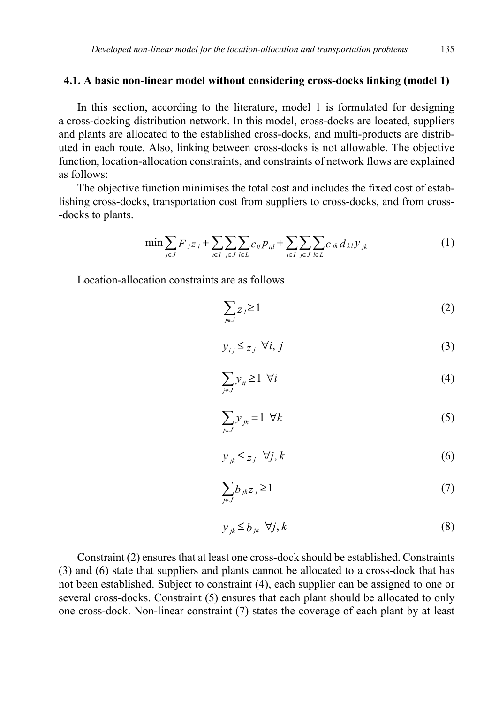#### **4.1. A basic non-linear model without considering cross-docks linking (model 1)**

In this section, according to the literature, model 1 is formulated for designing a cross-docking distribution network. In this model, cross-docks are located, suppliers and plants are allocated to the established cross-docks, and multi-products are distributed in each route. Also, linking between cross-docks is not allowable. The objective function, location-allocation constraints, and constraints of network flows are explained as follows:

The objective function minimises the total cost and includes the fixed cost of establishing cross-docks, transportation cost from suppliers to cross-docks, and from cross- -docks to plants.

$$
\min \sum_{j \in J} F_{j} z_{j} + \sum_{i \in I} \sum_{j \in J} \sum_{l \in L} c_{ij} p_{ijl} + \sum_{i \in I} \sum_{j \in J} \sum_{l \in L} c_{jk} d_{kl} y_{jk}
$$
(1)

Location-allocation constraints are as follows

$$
\sum_{j\in J} z_j \ge 1\tag{2}
$$

$$
y_{ij} \leq z_j \ \forall i, j \tag{3}
$$

$$
\sum_{j \in J} y_{ij} \ge 1 \quad \forall i \tag{4}
$$

$$
\sum_{j \in J} y_{jk} = 1 \ \forall k \tag{5}
$$

$$
y_{jk} \le z_j \quad \forall j, k \tag{6}
$$

$$
\sum_{j\in J} b_{jk} z_j \ge 1 \tag{7}
$$

$$
y_{jk} \leq b_{jk} \quad \forall j, k \tag{8}
$$

Constraint (2) ensures that at least one cross-dock should be established. Constraints (3) and (6) state that suppliers and plants cannot be allocated to a cross-dock that has not been established. Subject to constraint (4), each supplier can be assigned to one or several cross-docks. Constraint (5) ensures that each plant should be allocated to only one cross-dock. Non-linear constraint (7) states the coverage of each plant by at least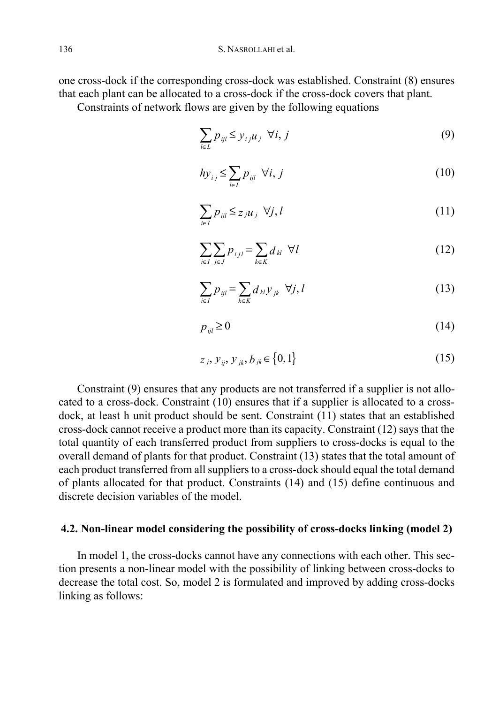one cross-dock if the corresponding cross-dock was established. Constraint (8) ensures that each plant can be allocated to a cross-dock if the cross-dock covers that plant.

Constraints of network flows are given by the following equations

$$
\sum_{l \in L} p_{ijl} \le y_{ij} u_j \ \forall i, j \tag{9}
$$

$$
hy_{ij} \le \sum_{l \in L} p_{ijl} \ \forall i, j \tag{10}
$$

$$
\sum_{i \in I} p_{ijl} \leq z_j u_j \ \forall j, l \tag{11}
$$

$$
\sum_{i \in I} \sum_{j \in J} p_{ijl} = \sum_{k \in K} d_{kl} \ \forall l \tag{12}
$$

$$
\sum_{i \in I} p_{ijl} = \sum_{k \in K} d_{kl} y_{jk} \ \forall j, l \tag{13}
$$

$$
p_{ijl} \ge 0 \tag{14}
$$

$$
z_j, y_{ij}, y_{jk}, b_{jk} \in \{0, 1\}
$$
 (15)

Constraint (9) ensures that any products are not transferred if a supplier is not allocated to a cross-dock. Constraint (10) ensures that if a supplier is allocated to a crossdock, at least h unit product should be sent. Constraint (11) states that an established cross-dock cannot receive a product more than its capacity. Constraint (12) says that the total quantity of each transferred product from suppliers to cross-docks is equal to the overall demand of plants for that product. Constraint (13) states that the total amount of each product transferred from all suppliers to a cross-dock should equal the total demand of plants allocated for that product. Constraints (14) and (15) define continuous and discrete decision variables of the model.

### **4.2. Non-linear model considering the possibility of cross-docks linking (model 2)**

In model 1, the cross-docks cannot have any connections with each other. This section presents a non-linear model with the possibility of linking between cross-docks to decrease the total cost. So, model 2 is formulated and improved by adding cross-docks linking as follows: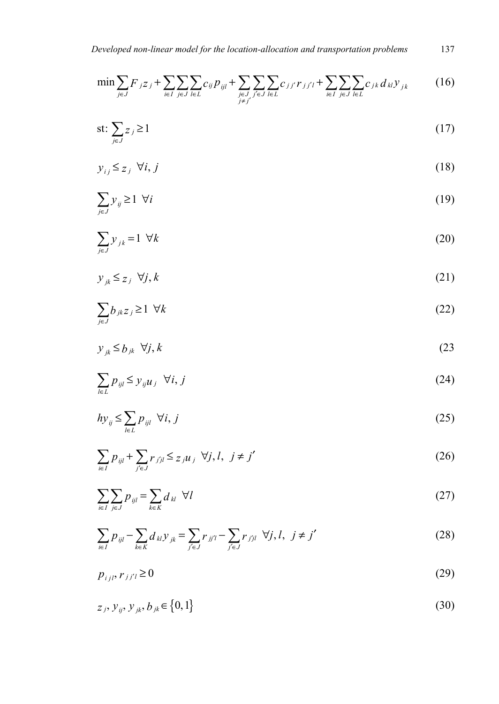$$
\min \sum_{j \in J} F_{jZj} + \sum_{i \in I} \sum_{j \in J} \sum_{l \in L} c_{ij} p_{ijl} + \sum_{\substack{j \in J \\ j \neq j'}} \sum_{j \in J} \sum_{l \in L} c_{jj'} r_{jj'l} + \sum_{i \in I} \sum_{j \in J} \sum_{l \in L} c_{jk} d_{kl} y_{jk} \tag{16}
$$

$$
\text{s.t: } \sum_{j \in J} z_j \ge 1 \tag{17}
$$

$$
y_{ij} \le z_j \ \forall i, j \tag{18}
$$

$$
\sum_{j \in J} y_{ij} \ge 1 \ \forall i \tag{19}
$$

$$
\sum_{j \in J} y_{jk} = 1 \ \forall k \tag{20}
$$

$$
y_{jk} \le z_j \ \forall j, k \tag{21}
$$

$$
\sum_{j\in J} b_{jk} z_j \ge 1 \ \forall k \tag{22}
$$

$$
y_{jk} \leq b_{jk} \ \forall j, k \tag{23}
$$

$$
\sum_{l \in L} p_{ijl} \le y_{ij} u_j \quad \forall i, j \tag{24}
$$

$$
h y_{ij} \le \sum_{l \in L} p_{ijl} \ \forall i, j \tag{25}
$$

$$
\sum_{i \in I} p_{ijl} + \sum_{j' \in J} r_{jjl} \leq z_{jllj} \ \forall j, l, \ j \neq j'
$$
 (26)

$$
\sum_{i\in I}\sum_{j\in J}p_{ijl} = \sum_{k\in K}d_{kl} \ \ \forall l
$$

$$
\sum_{i \in I} p_{ijl} - \sum_{k \in K} d_{kl} y_{jk} = \sum_{j' \in J} r_{jj'l} - \sum_{j' \in J} r_{jjl} \ \forall j, l, \ j \neq j'
$$
 (28)

$$
p_{ijl}, r_{jj'l} \ge 0 \tag{29}
$$

$$
z_j, y_{ij}, y_{jk}, b_{jk} \in \{0, 1\}
$$
 (30)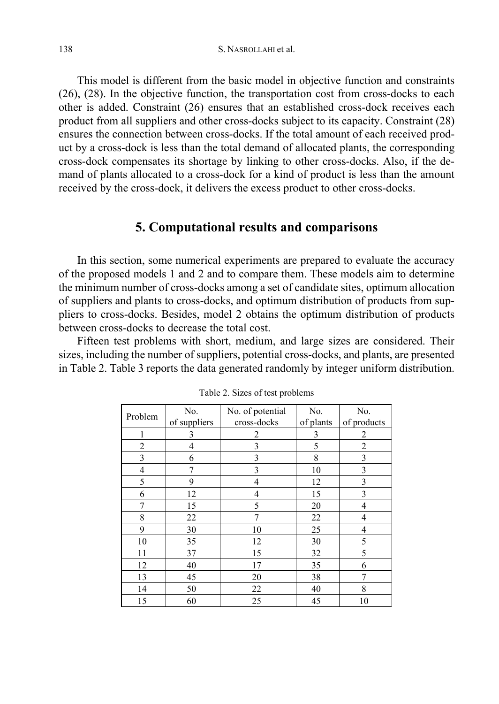This model is different from the basic model in objective function and constraints (26), (28). In the objective function, the transportation cost from cross-docks to each other is added. Constraint (26) ensures that an established cross-dock receives each product from all suppliers and other cross-docks subject to its capacity. Constraint (28) ensures the connection between cross-docks. If the total amount of each received product by a cross-dock is less than the total demand of allocated plants, the corresponding cross-dock compensates its shortage by linking to other cross-docks. Also, if the demand of plants allocated to a cross-dock for a kind of product is less than the amount received by the cross-dock, it delivers the excess product to other cross-docks.

## **5. Computational results and comparisons**

In this section, some numerical experiments are prepared to evaluate the accuracy of the proposed models 1 and 2 and to compare them. These models aim to determine the minimum number of cross-docks among a set of candidate sites, optimum allocation of suppliers and plants to cross-docks, and optimum distribution of products from suppliers to cross-docks. Besides, model 2 obtains the optimum distribution of products between cross-docks to decrease the total cost.

Fifteen test problems with short, medium, and large sizes are considered. Their sizes, including the number of suppliers, potential cross-docks, and plants, are presented in Table 2. Table 3 reports the data generated randomly by integer uniform distribution.

| Problem        | No.          | No. of potential | No.       | No.            |
|----------------|--------------|------------------|-----------|----------------|
|                | of suppliers | cross-docks      | of plants | of products    |
|                | 3            | 2                | 3         | 2              |
| 2              | 4            | 3                | 5         | $\overline{2}$ |
| 3              | 6            | 3                | 8         | 3              |
| $\overline{4}$ | 7            | 3                | 10        | 3              |
| 5              | 9            | 4                | 12        | 3              |
| 6              | 12           | 4                | 15        | 3              |
| 7              | 15           | 5                | 20        | 4              |
| 8              | 22           | 7                | $22\,$    | 4              |
| 9              | 30           | 10               | 25        | 4              |
| 10             | 35           | 12               | 30        | 5              |
| 11             | 37           | 15               | 32        | 5              |
| 12             | 40           | 17               | 35        | 6              |
| 13             | 45           | 20               | 38        |                |
| 14             | 50           | 22               | 40        | 8              |
| 15             | 60           | 25               | 45        | 10             |

Table 2. Sizes of test problems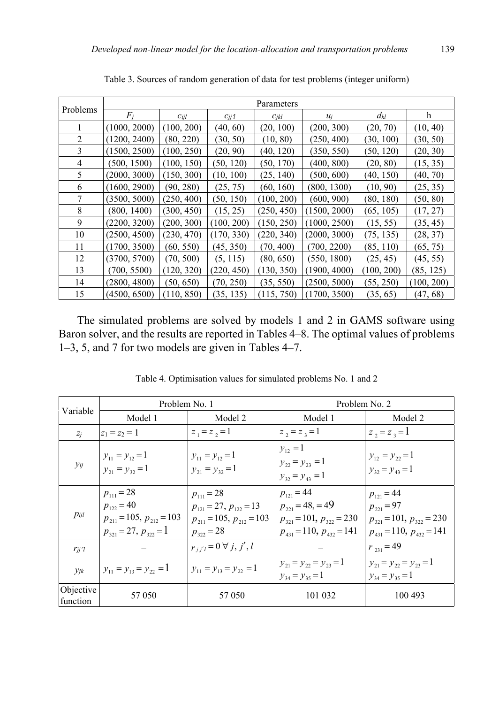|                | Parameters   |            |            |            |              |            |            |  |  |
|----------------|--------------|------------|------------|------------|--------------|------------|------------|--|--|
| Problems       | $F_i$        | Cijl       | $C_{jj}$ 1 | $C_{jkl}$  | $u_i$        | $d_{kl}$   | h          |  |  |
|                | (1000, 2000) | (100, 200) | (40, 60)   | (20, 100)  | (200, 300)   | (20, 70)   | (10, 40)   |  |  |
| 2              | (1200, 2400) | (80, 220)  | (30, 50)   | (10, 80)   | (250, 400)   | (30, 100)  | (30, 50)   |  |  |
| $\overline{3}$ | (1500, 2500) | (100, 250) | (20, 90)   | (40, 120)  | (350, 550)   | (50, 120)  | (20, 30)   |  |  |
| 4              | (500, 1500)  | (100, 150) | (50, 120)  | (50, 170)  | (400, 800)   | (20, 80)   | (15, 35)   |  |  |
| 5              | (2000, 3000) | (150, 300) | (10, 100)  | (25, 140)  | (500, 600)   | (40, 150)  | (40, 70)   |  |  |
| 6              | (1600, 2900) | (90, 280)  | (25, 75)   | (60, 160)  | (800, 1300)  | (10, 90)   | (25, 35)   |  |  |
| 7              | (3500, 5000) | (250, 400) | (50, 150)  | (100, 200) | (600, 900)   | (80, 180)  | (50, 80)   |  |  |
| 8              | (800, 1400)  | (300, 450) | (15, 25)   | (250, 450) | (1500, 2000) | (65, 105)  | (17, 27)   |  |  |
| 9              | (2200, 3200) | (200, 300) | (100, 200) | (150, 250) | (1000, 2500) | (15, 55)   | (35, 45)   |  |  |
| 10             | (2500, 4500) | (230, 470) | (170, 330) | (220, 340) | (2000, 3000) | (75, 135)  | (28, 37)   |  |  |
| 11             | (1700, 3500) | (60, 550)  | (45, 350)  | (70, 400)  | (700, 2200)  | (85, 110)  | (65, 75)   |  |  |
| 12             | (3700, 5700) | (70, 500)  | (5, 115)   | (80, 650)  | (550, 1800)  | (25, 45)   | (45, 55)   |  |  |
| 13             | (700, 5500)  | (120, 320) | (220, 450) | (130, 350) | (1900, 4000) | (100, 200) | (85, 125)  |  |  |
| 14             | (2800, 4800) | (50, 650)  | (70, 250)  | (35, 550)  | (2500, 5000) | (55, 250)  | (100, 200) |  |  |
| 15             | (4500, 6500) | (110, 850) | (35, 135)  | (115, 750) | (1700, 3500) | (35, 65)   | (47, 68)   |  |  |

Table 3. Sources of random generation of data for test problems (integer uniform)

The simulated problems are solved by models 1 and 2 in GAMS software using Baron solver, and the results are reported in Tables 4–8. The optimal values of problems 1–3, 5, and 7 for two models are given in Tables 4–7.

|                       | Problem No. 1                                                                                        |                                                                                                       | Problem No. 2                                                                                                    |                                                                                                            |  |
|-----------------------|------------------------------------------------------------------------------------------------------|-------------------------------------------------------------------------------------------------------|------------------------------------------------------------------------------------------------------------------|------------------------------------------------------------------------------------------------------------|--|
| Variable              | Model 1                                                                                              | Model 2                                                                                               | Model 1                                                                                                          | Model 2                                                                                                    |  |
| $Z_i$                 | $z_1 = z_2 = 1$                                                                                      | $z_1 = z_2 = 1$                                                                                       | $z_2 = z_3 = 1$                                                                                                  | $z_2 = z_3 = 1$                                                                                            |  |
| $y_{ij}$              | $y_{11} = y_{12} = 1$<br>$y_{21} = y_{32} = 1$                                                       | $y_{11} = y_{12} = 1$<br>$y_{21} = y_{32} = 1$                                                        | $v_{12} = 1$<br>$y_{22} = y_{23} = 1$<br>$y_{32} = y_{43} = 1$                                                   | $y_{12} = y_{22} = 1$<br>$y_{32} = y_{43} = 1$                                                             |  |
| $p_{ijl}$             | $p_{111} = 28$<br>$p_{122} = 40$<br>$p_{211} = 105$ , $p_{212} = 103$<br>$p_{321} = 27, p_{322} = 1$ | $p_{111} = 28$<br>$p_{121} = 27, p_{122} = 13$<br>$p_{211} = 105$ , $p_{212} = 103$<br>$p_{322} = 28$ | $p_{121} = 44$<br>$p_{221} = 48, = 49$<br>$p_{321} = 101$ , $p_{322} = 230$<br>$p_{431} = 110$ , $p_{432} = 141$ | $p_{121} = 44$<br>$p_{221} = 97$<br>$p_{321} = 101$ , $p_{322} = 230$<br>$p_{431} = 110$ , $p_{432} = 141$ |  |
| $r_{ii}$ 'l           |                                                                                                      | $r_{j'j'} = 0 \,\forall j, j', l$                                                                     |                                                                                                                  | $r_{231} = 49$                                                                                             |  |
| $y_{jk}$              | $y_{11} = y_{13} = y_{22} = 1$                                                                       | $y_{11} = y_{13} = y_{22} = 1$                                                                        | $y_{21} = y_{22} = y_{23} = 1$<br>$y_{34} = y_{35} = 1$                                                          | $y_{21} = y_{22} = y_{23} = 1$<br>$y_{34} = y_{35} = 1$                                                    |  |
| Objective<br>function | 57 050                                                                                               | 57 050                                                                                                | 101 032                                                                                                          | 100 493                                                                                                    |  |

Table 4. Optimisation values for simulated problems No. 1 and 2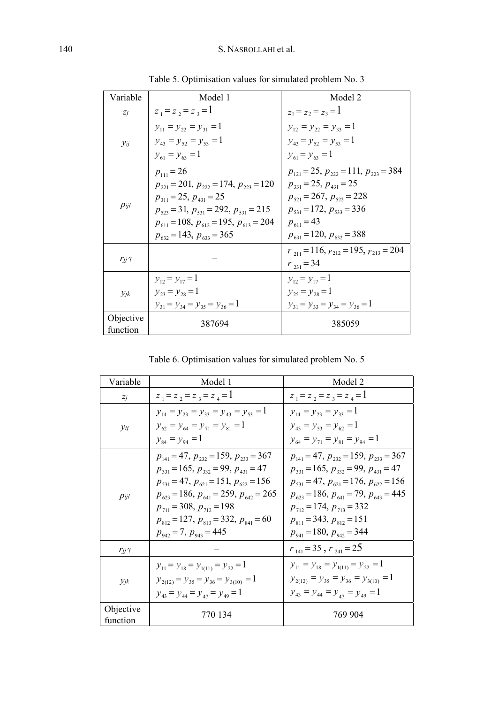| Variable    | Model 1                                                          | Model 2                                                          |
|-------------|------------------------------------------------------------------|------------------------------------------------------------------|
| $Z_j$       | $z_1 = z_2 = z_3 = 1$                                            | $z_1 = z_2 = z_3 = 1$                                            |
|             | $y_{11} = y_{22} = y_{31} = 1$<br>$y_{43} = y_{52} = y_{53} = 1$ | $y_{12} = y_{22} = y_{33} = 1$<br>$y_{43} = y_{52} = y_{53} = 1$ |
| $y_{ij}$    | $y_{61} = y_{63} = 1$                                            | $y_{61} = y_{63} = 1$                                            |
|             | $p_{111} = 26$                                                   | $p_{121} = 25$ , $p_{222} = 111$ , $p_{223} = 384$               |
|             | $p_{221} = 201$ , $p_{222} = 174$ , $p_{223} = 120$              | $p_{331} = 25$ , $p_{431} = 25$                                  |
|             | $p_{311} = 25$ , $p_{431} = 25$                                  | $p_{521} = 267$ , $p_{522} = 228$                                |
| pi          | $p_{523} = 31$ , $p_{531} = 292$ , $p_{531} = 215$               | $p_{531} = 172, p_{533} = 336$                                   |
|             | $p_{611} = 108$ , $p_{612} = 195$ , $p_{613} = 204$              | $p_{611} = 43$                                                   |
|             | $p_{632} = 143$ , $p_{633} = 365$                                | $p_{631} = 120$ , $p_{632} = 388$                                |
|             |                                                                  | $r_{211} = 116$ , $r_{212} = 195$ , $r_{213} = 204$              |
| $r_{jj}$ 'l |                                                                  | $r_{231} = 34$                                                   |
|             | $y_{12} = y_{17} = 1$                                            | $y_{12} = y_{17} = 1$                                            |
| $y_{jk}$    | $y_{23} = y_{28} = 1$                                            | $y_{25} = y_{28} = 1$                                            |
|             | $y_{31} = y_{34} = y_{35} = y_{36} = 1$                          | $y_{31} = y_{33} = y_{34} = y_{36} = 1$                          |
| Objective   | 387694                                                           | 385059                                                           |
| function    |                                                                  |                                                                  |

Table 5. Optimisation values for simulated problem No. 3

Table 6. Optimisation values for simulated problem No. 5

| Variable    | Model 1                                             | Model 2                                            |
|-------------|-----------------------------------------------------|----------------------------------------------------|
| $Z_j$       | $z_1 = z_2 = z_3 = z_4 = 1$                         | $z_1 = z_2 = z_3 = z_4 = 1$                        |
|             | $y_{14} = y_{23} = y_{33} = y_{43} = y_{53} = 1$    | $y_{14} = y_{23} = y_{33} = 1$                     |
| $y_{ij}$    | $y_{62} = y_{64} = y_{71} = y_{81} = 1$             | $y_{43} = y_{53} = y_{62} = 1$                     |
|             | $y_{84} = y_{94} = 1$                               | $y_{64} = y_{71} = y_{81} = y_{94} = 1$            |
|             | $p_{141} = 47$ , $p_{232} = 159$ , $p_{233} = 367$  | $p_{141} = 47$ , $p_{232} = 159$ , $p_{233} = 367$ |
|             | $p_{331} = 165$ , $p_{332} = 99$ , $p_{431} = 47$   | $p_{331} = 165$ , $p_{332} = 99$ , $p_{431} = 47$  |
|             | $p_{531} = 47$ , $p_{621} = 151$ , $p_{622} = 156$  | $p_{531} = 47$ , $p_{621} = 176$ , $p_{622} = 156$ |
| pi          | $p_{623} = 186$ , $p_{641} = 259$ , $p_{642} = 265$ | $p_{623} = 186$ , $p_{641} = 79$ , $p_{643} = 445$ |
|             | $p_{711} = 308, p_{712} = 198$                      | $p_{712} = 174$ , $p_{713} = 332$                  |
|             | $p_{812} = 127$ , $p_{813} = 332$ , $p_{841} = 60$  | $p_{811} = 343, p_{812} = 151$                     |
|             | $p_{942} = 7$ , $p_{943} = 445$                     | $p_{941} = 180$ , $p_{942} = 344$                  |
| $r_{jj}$ 'l |                                                     | $r_{141} = 35$ , $r_{241} = 25$                    |
|             | $y_{11} = y_{18} = y_{1(11)} = y_{22} = 1$          | $y_{11} = y_{18} = y_{1(11)} = y_{22} = 1$         |
| $y_{jk}$    | $y_{2(12)} = y_{35} = y_{36} = y_{3(10)} = 1$       | $y_{2(12)} = y_{35} = y_{36} = y_{3(10)} = 1$      |
|             | $y_{43} = y_{44} = y_{47} = y_{49} = 1$             | $y_{43} = y_{44} = y_{47} = y_{49} = 1$            |
| Objective   | 770 134                                             | 769 904                                            |
| function    |                                                     |                                                    |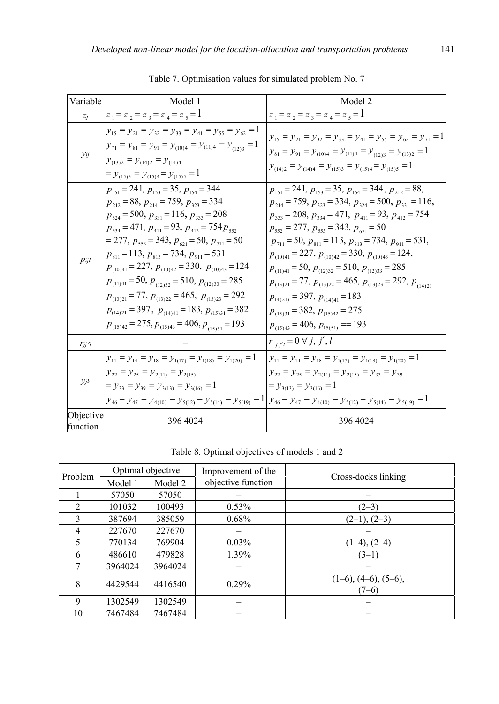| Variable              | Model 1                                                                                                                                                                                                                                                                                                                                                                                                                                                                                                                                                                                                                                                                  | Model 2                                                                                                                                                                                                                                                                                                                                                                                                                                                                                                                                                                                                                                                                                         |
|-----------------------|--------------------------------------------------------------------------------------------------------------------------------------------------------------------------------------------------------------------------------------------------------------------------------------------------------------------------------------------------------------------------------------------------------------------------------------------------------------------------------------------------------------------------------------------------------------------------------------------------------------------------------------------------------------------------|-------------------------------------------------------------------------------------------------------------------------------------------------------------------------------------------------------------------------------------------------------------------------------------------------------------------------------------------------------------------------------------------------------------------------------------------------------------------------------------------------------------------------------------------------------------------------------------------------------------------------------------------------------------------------------------------------|
| $Z_j$                 | $z_1 = z_2 = z_3 = z_4 = z_5 = 1$                                                                                                                                                                                                                                                                                                                                                                                                                                                                                                                                                                                                                                        | $z_1 = z_2 = z_3 = z_4 = z_5 = 1$                                                                                                                                                                                                                                                                                                                                                                                                                                                                                                                                                                                                                                                               |
| Уij                   | $y_{15} = y_{21} = y_{32} = y_{33} = y_{41} = y_{55} = y_{62} = 1$<br>$y_{71} = y_{81} = y_{91} = y_{(10)4} = y_{(11)4} = y_{(12)3} = 1$<br>$y_{(13)2} = y_{(14)2} = y_{(14)4}$<br>$= y_{(15)3} = y_{(15)4} = y_{(15)5} = 1$                                                                                                                                                                                                                                                                                                                                                                                                                                             | $y_{15} = y_{21} = y_{32} = y_{33} = y_{41} = y_{55} = y_{62} = y_{71} = 1$<br>$y_{81} = y_{91} = y_{(10)4} = y_{(11)4} = y_{(12)3} = y_{(13)2} = 1$<br>$y_{(14)2} = y_{(14)4} = y_{(15)3} = y_{(15)4} = y_{(15)5} = 1$                                                                                                                                                                                                                                                                                                                                                                                                                                                                         |
| pi                    | $p_{151} = 241$ , $p_{153} = 35$ , $p_{154} = 344$<br>$p_{212} = 88$ , $p_{214} = 759$ , $p_{323} = 334$<br>$p_{324} = 500$ , $p_{331} = 116$ , $p_{333} = 208$<br>$p_{334} = 471$ , $p_{411} = 93$ , $p_{412} = 754 p_{552}$<br>$=$ 277, $p_{553}$ = 343, $p_{621}$ = 50, $p_{711}$ = 50<br>$p_{811} = 113$ , $p_{813} = 734$ , $p_{911} = 531$<br>$p_{(10)41} = 227$ , $p_{(10)42} = 330$ , $p_{(10)43} = 124$<br>$p_{(11)41} = 50$ , $p_{(12)32} = 510$ , $p_{(12)33} = 285$<br>$p_{(13)21} = 77$ , $p_{(13)22} = 465$ , $p_{(13)23} = 292$<br>$p_{(14)21} = 397$ , $p_{(14)41} = 183$ , $p_{(15)31} = 382$<br>$p_{(15)42} = 275, p_{(15)43} = 406, p_{(15)51} = 193$ | $p_{151} = 241$ , $p_{153} = 35$ , $p_{154} = 344$ , $p_{212} = 88$ ,<br>$p_{214} = 759$ , $p_{323} = 334$ , $p_{324} = 500$ , $p_{331} = 116$ ,<br>$p_{333} = 208$ , $p_{334} = 471$ , $p_{411} = 93$ , $p_{412} = 754$<br>$p_{552} = 277$ , $p_{553} = 343$ , $p_{621} = 50$<br>$p_{711} = 50$ , $p_{811} = 113$ , $p_{813} = 734$ , $p_{911} = 531$ ,<br>$p_{(10)41} = 227$ , $p_{(10)42} = 330$ , $p_{(10)43} = 124$ ,<br>$p_{(11)41} = 50$ , $p_{(12)32} = 510$ , $p_{(12)33} = 285$<br>$p_{(13)21} = 77$ , $p_{(13)22} = 465$ , $p_{(13)23} = 292$ , $p_{(14)21}$<br>$p_{14(21)} = 397, p_{(14)41} = 183$<br>$p_{(15)31} = 382, p_{(15)42} = 275$<br>$p_{(15)43} = 406, p_{15(51)} = 193$ |
| $r_{jj}$ 'l           |                                                                                                                                                                                                                                                                                                                                                                                                                                                                                                                                                                                                                                                                          | $r_{j'j'} = 0 \,\forall j, j', l$                                                                                                                                                                                                                                                                                                                                                                                                                                                                                                                                                                                                                                                               |
| $y_{jk}$              | $y_{11} = y_{14} = y_{18} = y_{1(17)} = y_{1(18)} = y_{1(20)} = 1$<br>$y_{22} = y_{25} = y_{2(11)} = y_{2(15)}$<br>$= y_{33} = y_{39} = y_{3(13)} = y_{3(16)} = 1$                                                                                                                                                                                                                                                                                                                                                                                                                                                                                                       | $y_{11} = y_{14} = y_{18} = y_{1(17)} = y_{1(18)} = y_{1(20)} = 1$<br>$y_{22} = y_{25} = y_{2(11)} = y_{2(15)} = y_{33} = y_{39}$<br>$= y_{3(13)} = y_{3(16)} = 1$<br>$y_{46} = y_{47} = y_{4(10)} = y_{5(12)} = y_{5(14)} = y_{5(19)} = 1$ $y_{46} = y_{47} = y_{4(10)} = y_{5(12)} = y_{5(14)} = y_{5(19)} = 1$                                                                                                                                                                                                                                                                                                                                                                               |
| Objective<br>function | 396 4024                                                                                                                                                                                                                                                                                                                                                                                                                                                                                                                                                                                                                                                                 | 396 4024                                                                                                                                                                                                                                                                                                                                                                                                                                                                                                                                                                                                                                                                                        |

Table 7. Optimisation values for simulated problem No. 7

Table 8. Optimal objectives of models 1 and 2

| Problem        | Optimal objective |         | Improvement of the | Cross-docks linking                      |  |  |
|----------------|-------------------|---------|--------------------|------------------------------------------|--|--|
|                | Model 1           | Model 2 | objective function |                                          |  |  |
|                | 57050             | 57050   |                    |                                          |  |  |
| $\mathfrak{D}$ | 101032            | 100493  | $0.53\%$           | $(2-3)$                                  |  |  |
| 3              | 387694            | 385059  | $0.68\%$           | $(2-1), (2-3)$                           |  |  |
| 4              | 227670            | 227670  |                    |                                          |  |  |
| 5              | 770134            | 769904  | $0.03\%$           | $(1-4)$ , $(2-4)$                        |  |  |
| 6              | 486610            | 479828  | 1.39%              | $(3-1)$                                  |  |  |
| ┑              | 3964024           | 3964024 |                    |                                          |  |  |
| 8              | 4429544           | 4416540 | 0.29%              | $(1-6)$ , $(4-6)$ , $(5-6)$ ,<br>$(7-6)$ |  |  |
| 9              | 1302549           | 1302549 |                    |                                          |  |  |
| 10             | 7467484           | 7467484 |                    |                                          |  |  |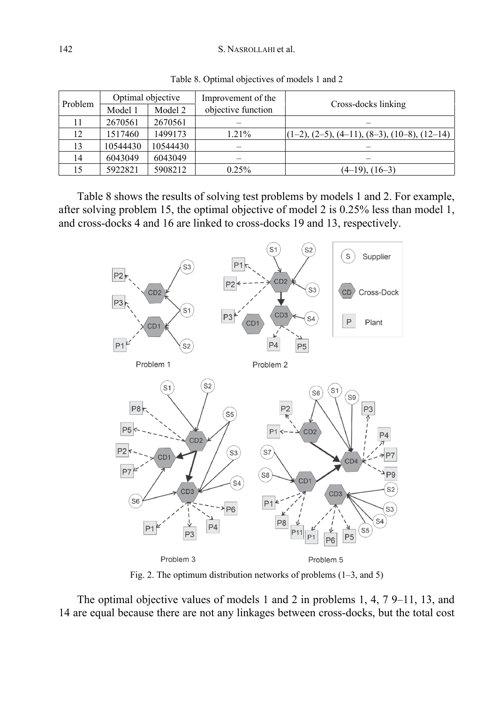#### 142 S. NASROLLAHI et al.

| Problem |          | Optimal objective | Improvement of the | Cross-docks linking                            |  |  |
|---------|----------|-------------------|--------------------|------------------------------------------------|--|--|
|         | Model 1  | Model 2           | objective function |                                                |  |  |
| 11      | 2670561  | 2670561           |                    |                                                |  |  |
| 12      | 1517460  | 1499173           | 1.21%              | $(1-2), (2-5), (4-11), (8-3), (10-8), (12-14)$ |  |  |
| 13      | 10544430 | 10544430          |                    |                                                |  |  |
| 14      | 6043049  | 6043049           |                    |                                                |  |  |
| 15      | 5922821  | 5908212           | 0.25%              | $(4-19)$ , $(16-3)$                            |  |  |

Table 8. Optimal objectives of models 1 and 2

Table 8 shows the results of solving test problems by models 1 and 2. For example, after solving problem 15, the optimal objective of model 2 is 0.25% less than model 1, and cross-docks 4 and 16 are linked to cross-docks 19 and 13, respectively.



Fig. 2. The optimum distribution networks of problems (1–3, and 5)

The optimal objective values of models 1 and 2 in problems 1, 4, 7 9–11, 13, and 14 are equal because there are not any linkages between cross-docks, but the total cost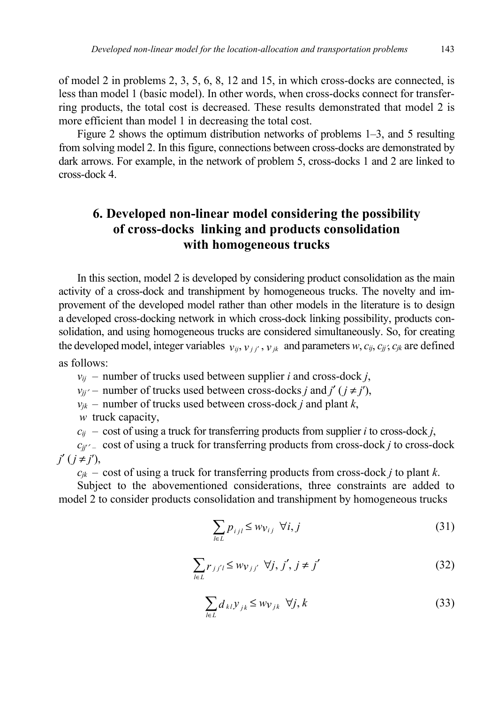of model 2 in problems 2, 3, 5, 6, 8, 12 and 15, in which cross-docks are connected, is less than model 1 (basic model). In other words, when cross-docks connect for transferring products, the total cost is decreased. These results demonstrated that model 2 is more efficient than model 1 in decreasing the total cost.

Figure 2 shows the optimum distribution networks of problems 1–3, and 5 resulting from solving model 2. In this figure, connections between cross-docks are demonstrated by dark arrows. For example, in the network of problem 5, cross-docks 1 and 2 are linked to cross-dock 4.

# **6. Developed non-linear model considering the possibility of cross-docks linking and products consolidation with homogeneous trucks**

In this section, model 2 is developed by considering product consolidation as the main activity of a cross-dock and transhipment by homogeneous trucks. The novelty and improvement of the developed model rather than other models in the literature is to design a developed cross-docking network in which cross-dock linking possibility, products consolidation, and using homogeneous trucks are considered simultaneously. So, for creating the developed model, integer variables  $v_{ij}, v_{ij}, v_{jk}$  and parameters  $w, c_{ij}, c_{ji}, c_{jk}$  are defined as follows:

 $v_{ij}$  – number of trucks used between supplier *i* and cross-dock *j*,

*v*<sub>ij</sub> $\prime$  – number of trucks used between cross-docks *j* and *j*<sup> $\prime$ </sup> ( $j \neq j'$ ),

 $v_{jk}$  – number of trucks used between cross-dock *j* and plant *k*,

*w* truck capacity,

 $c_{ij}$  – cost of using a truck for transferring products from supplier *i* to cross-dock *j*,

 $c_{ii'}$ <sup> $\angle$ </sup> – cost of using a truck for transferring products from cross-dock *j* to cross-dock  $j'(i \neq j')$ ,

 $c_{jk}$  – cost of using a truck for transferring products from cross-dock *j* to plant *k*.

Subject to the abovementioned considerations, three constraints are added to model 2 to consider products consolidation and transhipment by homogeneous trucks

$$
\sum_{l \in L} p_{ijl} \le w_{\mathcal{V}_{ij}} \ \forall i, j \tag{31}
$$

$$
\sum_{l \in L} r_{jj'l} \le w_{Vjj'} \ \forall j, j', j \neq j'
$$
 (32)

$$
\sum_{l \in L} d_{kl} y_{jk} \le w_{kj} \ \forall j, k \tag{33}
$$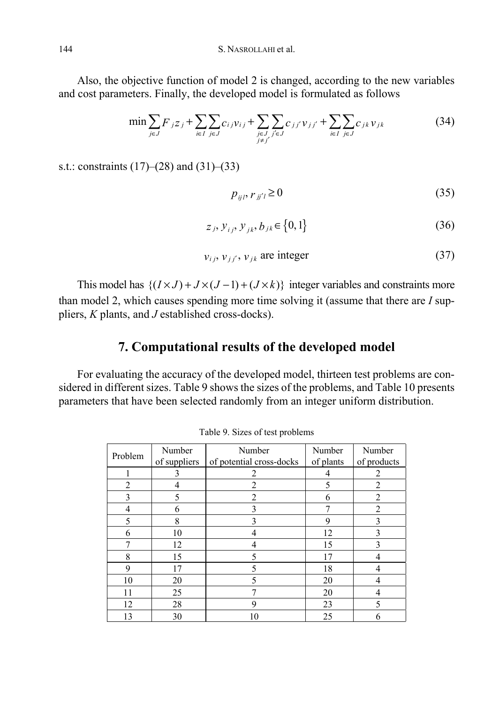Also, the objective function of model 2 is changed, according to the new variables and cost parameters. Finally, the developed model is formulated as follows

$$
\min \sum_{j \in J} F_{j} z_{j} + \sum_{i \in I} \sum_{j \in J} c_{i j} v_{i j} + \sum_{\substack{j \in J \\ j \neq j'}} \sum_{j' \in J} c_{j j'} v_{j j'} + \sum_{i \in I} \sum_{j \in J} c_{j k} v_{j k} \tag{34}
$$

s.t.: constraints (17)–(28) and (31)–(33)

$$
p_{ij}, r_{jj'} \ge 0 \tag{35}
$$

$$
z_j, y_{ij}, y_{jk}, b_{jk} \in \{0, 1\}
$$
 (36)

$$
v_{ij}, v_{jj'}, v_{jk} \text{ are integer } (37)
$$

This model has  $\{(I \times J) + J \times (J - 1) + (J \times k)\}$  integer variables and constraints more than model 2, which causes spending more time solving it (assume that there are *I* suppliers, *K* plants, and *J* established cross-docks).

# **7. Computational results of the developed model**

For evaluating the accuracy of the developed model, thirteen test problems are considered in different sizes. Table 9 shows the sizes of the problems, and Table 10 presents parameters that have been selected randomly from an integer uniform distribution.

| Problem                  | Number       | Number                   | Number    | Number         |
|--------------------------|--------------|--------------------------|-----------|----------------|
|                          | of suppliers | of potential cross-docks | of plants | of products    |
|                          | 3            |                          |           | 2              |
| $\mathfrak{D}$           |              | $\mathfrak{D}$           | 5         | $\overline{2}$ |
| ζ                        | 5            |                          | 6         | $\mathfrak{D}$ |
|                          | 6            | 3                        |           | $\mathfrak{D}$ |
| $\overline{\mathcal{L}}$ | 8            | 3                        | 9         | ٩              |
| 6                        | 10           |                          | 12        | 3              |
| 7                        | 12           |                          | 15        | 3              |
| 8                        | 15           |                          | 17        |                |
| 9                        | 17           |                          | 18        |                |
| 10                       | 20           |                          | 20        |                |
| 11                       | 25           |                          | 20        |                |
| 12                       | 28           | 9                        | 23        | 5              |
| 13                       | 30           | 10                       | 25        | 6              |

Table 9. Sizes of test problems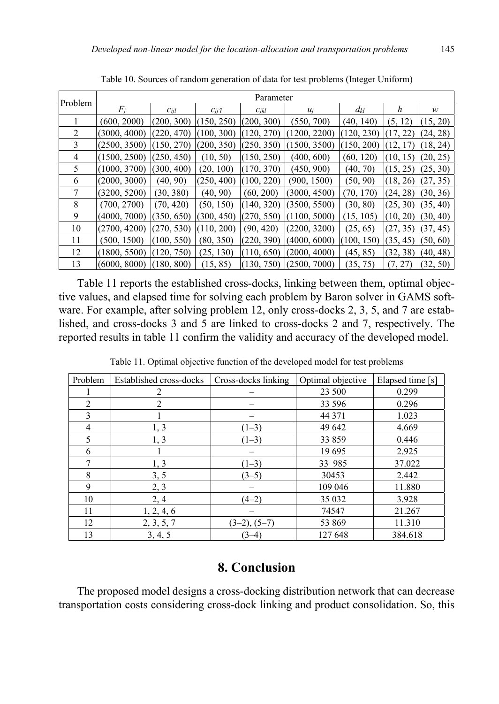|                | Parameter                   |            |            |            |              |            |          |          |
|----------------|-----------------------------|------------|------------|------------|--------------|------------|----------|----------|
| Problem        | $F_i$                       | Cijl       | $c_{ii}$ 1 | $C_{jkl}$  | $u_i$        | $d_{kl}$   | h        | w        |
|                | (600, 2000)                 | (200, 300) | (150, 250) | (200, 300) | (550, 700)   | (40, 140)  | (5, 12)  | (15, 20) |
| $\mathfrak{D}$ | (3000, 4000)                | (220, 470) | (100, 300) | (120, 270) | (1200, 2200) | (120, 230) | (17, 22) | (24, 28) |
| 3              | (2500, 3500)                | (150, 270) | (200, 350) | (250, 350) | (1500, 3500) | (150, 200) | (12, 17) | (18, 24) |
| 4              | (1500, 2500)                | (250, 450) | (10, 50)   | (150, 250) | (400, 600)   | (60, 120)  | (10, 15) | (20, 25) |
| 5              | (1000, 3700)                | (300, 400) | (20, 100)  | (170, 370) | (450, 900)   | (40, 70)   | (15, 25) | (25, 30) |
| 6              | (2000, 3000)                | (40, 90)   | (250, 400) | (100, 220) | (900, 1500)  | (50, 90)   | (18, 26) | (27, 35) |
| 7              | (3200, 5200)                | (30, 380)  | (40, 90)   | (60, 200)  | (3000, 4500) | (70, 170)  | (24, 28) | (30, 36) |
| 8              | (700, 2700)                 | (70, 420)  | (50, 150)  | (140, 320) | (3500, 5500) | (30, 80)   | (25, 30) | (35, 40) |
| 9              | (4000, 7000)                | (350, 650) | (300, 450) | (270, 550) | (1100, 5000) | (15, 105)  | (10, 20) | (30, 40) |
| 10             | (2700, 4200)                | (270, 530) | (110, 200) | (90, 420)  | (2200, 3200) | (25, 65)   | (27, 35) | (37, 45) |
| 11             | (500, 1500)                 | (100, 550) | (80, 350)  | (220, 390) | (4000, 6000) | (100, 150) | (35, 45) | (50, 60) |
| 12             | (1800, 5500)                | (120, 750) | (25, 130)  | (110, 650) | (2000, 4000) | (45, 85)   | (32, 38) | (40, 48) |
| 13             | $(6000, 8000)$ $(180, 800)$ |            | (15, 85)   | (130, 750) | (2500, 7000) | (35, 75)   | (7, 27)  | (32, 50) |

Table 10. Sources of random generation of data for test problems (Integer Uniform)

Table 11 reports the established cross-docks, linking between them, optimal objective values, and elapsed time for solving each problem by Baron solver in GAMS software. For example, after solving problem 12, only cross-docks 2, 3, 5, and 7 are established, and cross-docks 3 and 5 are linked to cross-docks 2 and 7, respectively. The reported results in table 11 confirm the validity and accuracy of the developed model.

| Problem | Established cross-docks | Cross-docks linking | Optimal objective | Elapsed time [s] |
|---------|-------------------------|---------------------|-------------------|------------------|
|         | 2                       |                     | 23 500            | 0.299            |
| 2       | 2                       |                     | 33 596            | 0.296            |
| 3       |                         |                     | 44 371            | 1.023            |
| 4       | 1, 3                    | $(1-3)$             | 49 642            | 4.669            |
| 5       | 1, 3                    | $(1-3)$             | 33 859            | 0.446            |
| 6       |                         |                     | 19 695            | 2.925            |
| $\tau$  | 1, 3                    | $(1-3)$             | 33 985            | 37.022           |
| 8       | 3, 5                    | $(3-5)$             | 30453             | 2.442            |
| 9       | 2, 3                    |                     | 109 046           | 11.880           |
| 10      | 2, 4                    | $(4-2)$             | 35 032            | 3.928            |
| 11      | 1, 2, 4, 6              |                     | 74547             | 21.267           |
| 12      | 2, 3, 5, 7              | $(3-2), (5-7)$      | 53 869            | 11.310           |
| 13      | 3, 4, 5                 | $(3-4)$             | 127 648           | 384.618          |

Table 11. Optimal objective function of the developed model for test problems

## **8. Conclusion**

The proposed model designs a cross-docking distribution network that can decrease transportation costs considering cross-dock linking and product consolidation. So, this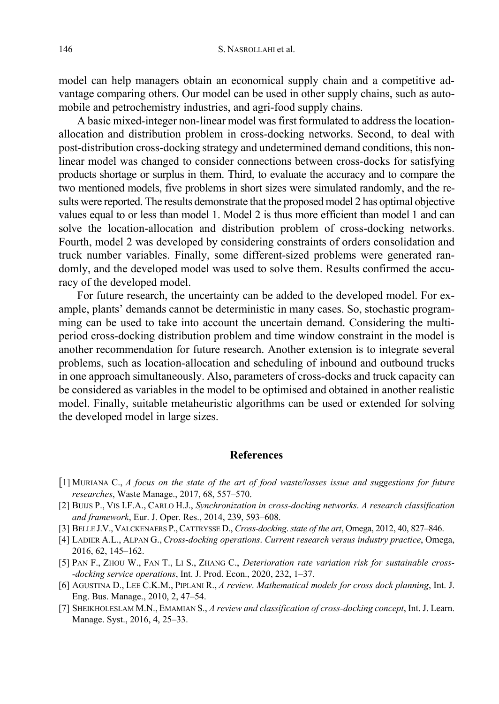model can help managers obtain an economical supply chain and a competitive advantage comparing others. Our model can be used in other supply chains, such as automobile and petrochemistry industries, and agri-food supply chains.

A basic mixed-integer non-linear model was first formulated to address the locationallocation and distribution problem in cross-docking networks. Second, to deal with post-distribution cross-docking strategy and undetermined demand conditions, this nonlinear model was changed to consider connections between cross-docks for satisfying products shortage or surplus in them. Third, to evaluate the accuracy and to compare the two mentioned models, five problems in short sizes were simulated randomly, and the results were reported. The results demonstrate that the proposed model 2 has optimal objective values equal to or less than model 1. Model 2 is thus more efficient than model 1 and can solve the location-allocation and distribution problem of cross-docking networks. Fourth, model 2 was developed by considering constraints of orders consolidation and truck number variables. Finally, some different-sized problems were generated randomly, and the developed model was used to solve them. Results confirmed the accuracy of the developed model.

For future research, the uncertainty can be added to the developed model. For example, plants' demands cannot be deterministic in many cases. So, stochastic programming can be used to take into account the uncertain demand. Considering the multiperiod cross-docking distribution problem and time window constraint in the model is another recommendation for future research. Another extension is to integrate several problems, such as location-allocation and scheduling of inbound and outbound trucks in one approach simultaneously. Also, parameters of cross-docks and truck capacity can be considered as variables in the model to be optimised and obtained in another realistic model. Finally, suitable metaheuristic algorithms can be used or extended for solving the developed model in large sizes.

#### **References**

- [1] MURIANA C., *A focus on the state of the art of food waste/losses issue and suggestions for future researches*, Waste Manage., 2017, 68, 557–570.
- [2] BUIJS P., VIS I.F.A., CARLO H.J., *Synchronization in cross-docking networks*. *A research classification and framework*, Eur. J. Oper. Res., 2014, 239, 593–608.
- [3] BELLE J.V., VALCKENAERS P.,CATTRYSSE D., *Cross-docking*. *state of the art*, Omega, 2012, 40, 827–846.
- [4] LADIER A.L., ALPAN G., *Cross-docking operations*. *Current research versus industry practice*, Omega, 2016, 62, 145–162.
- [5] PAN F., ZHOU W., FAN T., LI S., ZHANG C., *Deterioration rate variation risk for sustainable cross- -docking service operations*, Int. J. Prod. Econ., 2020, 232, 1–37.
- [6] AGUSTINA D., LEE C.K.M., PIPLANI R., *A review*. *Mathematical models for cross dock planning*, Int. J. Eng. Bus. Manage., 2010, 2, 47–54.
- [7] SHEIKHOLESLAM M.N., EMAMIAN S., *A review and classification of cross-docking concept*, Int. J. Learn. Manage. Syst., 2016, 4, 25–33.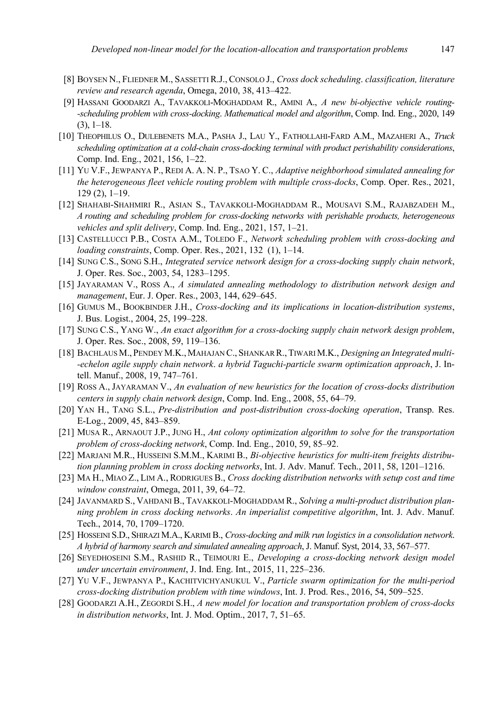- [8] BOYSEN N., FLIEDNER M., SASSETTI R.J., CONSOLO J., *Cross dock scheduling*. *classification, literature review and research agenda*, Omega, 2010, 38, 413–422.
- [9] HASSANI GOODARZI A., TAVAKKOLI-MOGHADDAM R., AMINI A., *A new bi-objective vehicle routing- -scheduling problem with cross-docking*. *Mathematical model and algorithm*, Comp. Ind. Eng., 2020, 149  $(3)$ , 1–18.
- [10] THEOPHILUS O., DULEBENETS M.A., PASHA J., LAU Y., FATHOLLAHI-FARD A.M., MAZAHERI A., *Truck scheduling optimization at a cold-chain cross-docking terminal with product perishability considerations*, Comp. Ind. Eng., 2021, 156, 1–22.
- [11] YU V.F., JEWPANYA P., REDI A. A. N. P., TSAO Y. C., *Adaptive neighborhood simulated annealing for the heterogeneous fleet vehicle routing problem with multiple cross-docks*, Comp. Oper. Res., 2021, 129 (2), 1–19.
- [12] SHAHABI-SHAHMIRI R., ASIAN S., TAVAKKOLI-MOGHADDAM R., MOUSAVI S.M., RAJABZADEH M., *A routing and scheduling problem for cross-docking networks with perishable products, heterogeneous vehicles and split delivery*, Comp. Ind. Eng., 2021, 157, 1–21.
- [13] CASTELLUCCI P.B., COSTA A.M., TOLEDO F., *Network scheduling problem with cross-docking and loading constraints*, Comp. Oper. Res., 2021, 132 (1), 1–14.
- [14] SUNG C.S., SONG S.H., *Integrated service network design for a cross-docking supply chain network*, J. Oper. Res. Soc., 2003, 54, 1283–1295.
- [15] JAYARAMAN V., ROSS A., *A simulated annealing methodology to distribution network design and management*, Eur. J. Oper. Res., 2003, 144, 629–645.
- [16] GUMUS M., BOOKBINDER J.H., *Cross-docking and its implications in location-distribution systems*, J. Bus. Logist., 2004, 25, 199–228.
- [17] SUNG C.S., YANG W., *An exact algorithm for a cross-docking supply chain network design problem*, J. Oper. Res. Soc., 2008, 59, 119–136.
- [18] BACHLAUS M., PENDEY M.K., MAHAJAN C., SHANKAR R.,TIWARI M.K., *Designing an Integrated multi- -echelon agile supply chain network*. *a hybrid Taguchi-particle swarm optimization approach*, J. Intell. Manuf., 2008, 19, 747–761.
- [19] ROSS A., JAYARAMAN V., *An evaluation of new heuristics for the location of cross-docks distribution centers in supply chain network design*, Comp. Ind. Eng., 2008, 55, 64–79.
- [20] YAN H., TANG S.L., *Pre-distribution and post-distribution cross-docking operation*, Transp. Res. E-Log., 2009, 45, 843–859.
- [21] MUSA R., ARNAOUT J.P., JUNG H., *Ant colony optimization algorithm to solve for the transportation problem of cross-docking network*, Comp. Ind. Eng., 2010, 59, 85–92.
- [22] MARJANI M.R., HUSSEINI S.M.M., KARIMI B., *Bi-objective heuristics for multi-item freights distribution planning problem in cross docking networks*, Int. J. Adv. Manuf. Tech., 2011, 58, 1201–1216.
- [23] MA H., MIAO Z., LIM A., RODRIGUES B., *Cross docking distribution networks with setup cost and time window constraint*, Omega, 2011, 39, 64–72.
- [24] JAVANMARD S., VAHDANI B., TAVAKKOLI-MOGHADDAM R., *Solving a multi-product distribution planning problem in cross docking networks*. *An imperialist competitive algorithm*, Int. J. Adv. Manuf. Tech., 2014, 70, 1709–1720.
- [25] HOSSEINI S.D., SHIRAZI M.A., KARIMI B., *Cross-docking and milk run logistics in a consolidation network*. *A hybrid of harmony search and simulated annealing approach*, J. Manuf. Syst, 2014, 33, 567–577.
- [26] SEYEDHOSEINI S.M., RASHID R., TEIMOURI E., *Developing a cross-docking network design model under uncertain environment*, J. Ind. Eng. Int., 2015, 11, 225–236.
- [27] YU V.F., JEWPANYA P., KACHITVICHYANUKUL V., *Particle swarm optimization for the multi-period cross-docking distribution problem with time windows*, Int. J. Prod. Res., 2016, 54, 509–525.
- [28] GOODARZI A.H., ZEGORDI S.H., *A new model for location and transportation problem of cross-docks in distribution networks*, Int. J. Mod. Optim., 2017, 7, 51–65.